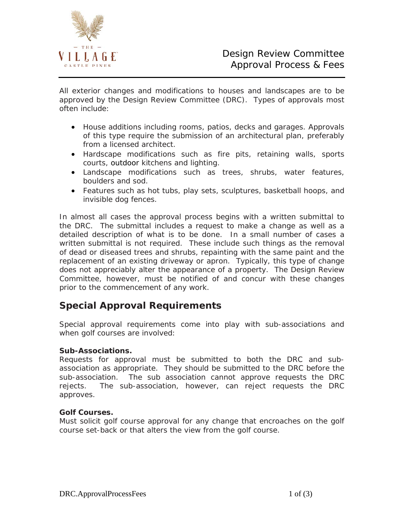

All exterior changes and modifications to houses and landscapes are to be approved by the Design Review Committee (DRC). Types of approvals most often include:

- House additions including rooms, patios, decks and garages. Approvals of this type require the submission of an architectural plan, preferably from a licensed architect.
- Hardscape modifications such as fire pits, retaining walls, sports courts, outdoor kitchens and lighting.
- Landscape modifications such as trees, shrubs, water features, boulders and sod.
- Features such as hot tubs, play sets, sculptures, basketball hoops, and invisible dog fences.

In almost all cases the approval process begins with a written submittal to the DRC. The submittal includes a request to make a change as well as a detailed description of what is to be done. In a small number of cases a written submittal is not required. These include such things as the removal of dead or diseased trees and shrubs, repainting with the same paint and the replacement of an existing driveway or apron. Typically, this type of change does not appreciably alter the appearance of a property. The Design Review Committee, however, must be notified of and concur with these changes prior to the commencement of any work.

## **Special Approval Requirements**

Special approval requirements come into play with sub-associations and when golf courses are involved:

### **Sub-Associations.**

Requests for approval must be submitted to both the DRC and subassociation as appropriate. They should be submitted to the DRC before the sub-association. The sub association cannot approve requests the DRC rejects. The sub-association, however, can reject requests the DRC approves.

### **Golf Courses.**

Must solicit golf course approval for any change that encroaches on the golf course set-back or that alters the view from the golf course.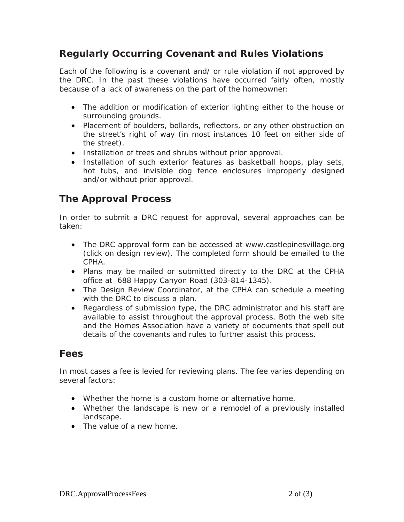# **Regularly Occurring Covenant and Rules Violations**

Each of the following is a covenant and/ or rule violation if not approved by the DRC. In the past these violations have occurred fairly often, mostly because of a lack of awareness on the part of the homeowner:

- The addition or modification of exterior lighting either to the house or surrounding grounds.
- Placement of boulders, bollards, reflectors, or any other obstruction on the street's right of way (in most instances 10 feet on either side of the street).
- Installation of trees and shrubs without prior approval.
- Installation of such exterior features as basketball hoops, play sets, hot tubs, and invisible dog fence enclosures improperly designed and/or without prior approval.

# **The Approval Process**

In order to submit a DRC request for approval, several approaches can be taken:

- The DRC approval form can be accessed at www.castlepinesvillage.org (click on design review). The completed form should be emailed to the CPHA.
- Plans may be mailed or submitted directly to the DRC at the CPHA office at 688 Happy Canyon Road (303-814-1345).
- The Design Review Coordinator, at the CPHA can schedule a meeting with the DRC to discuss a plan.
- Regardless of submission type, the DRC administrator and his staff are available to assist throughout the approval process. Both the web site and the Homes Association have a variety of documents that spell out details of the covenants and rules to further assist this process.

### **Fees**

In most cases a fee is levied for reviewing plans. The fee varies depending on several factors:

- Whether the home is a custom home or alternative home.
- Whether the landscape is new or a remodel of a previously installed landscape.
- The value of a new home.